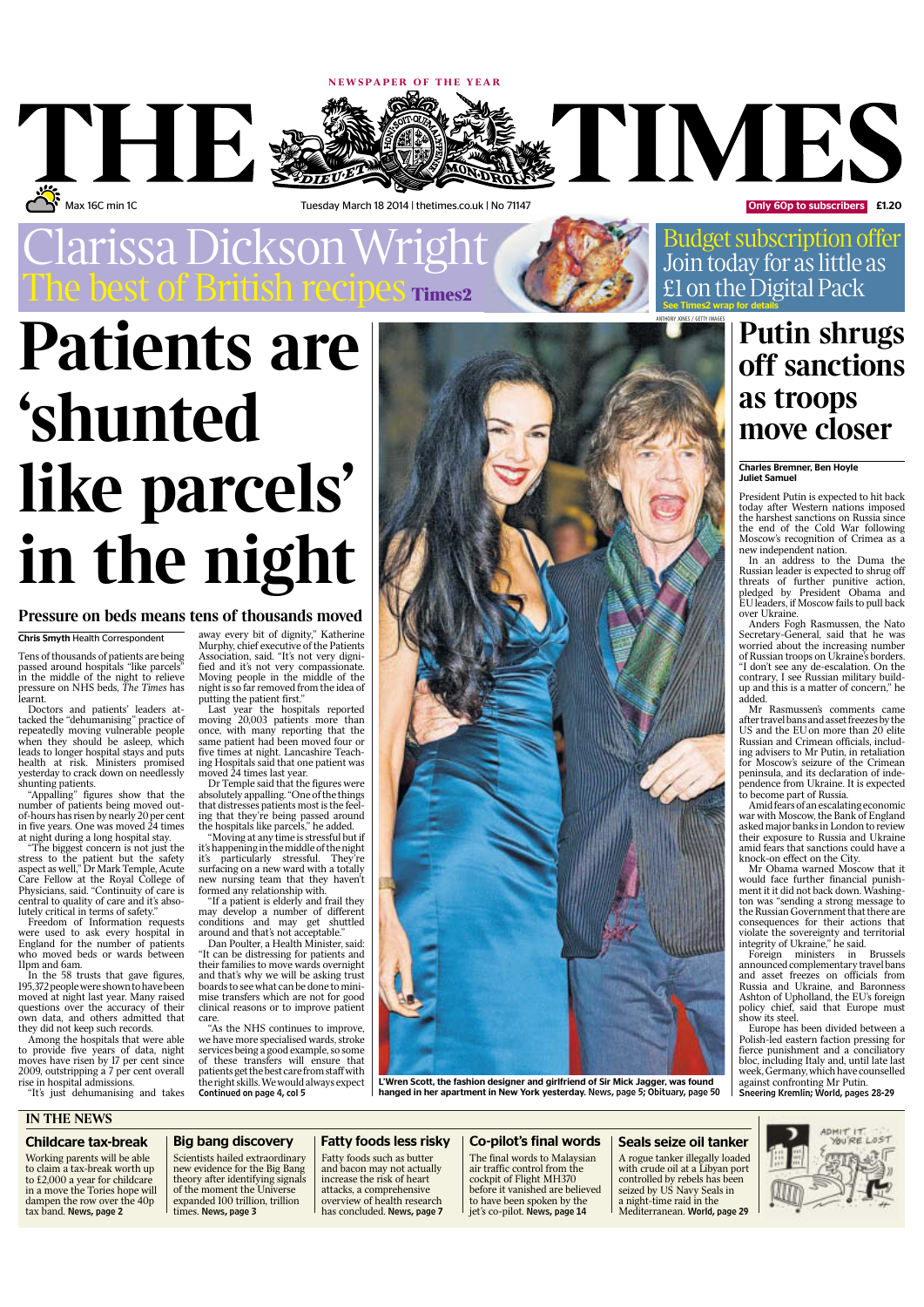

# **Patients are 'shunted like parcels' in the night**

#### Chris Smyth Health Correspondent

Tens of thousands of patients are being passed around hospitals "like parcels" in the middle of the night to relieve pressure on NHS beds, The Times has learnt.

Doctors and patients' leaders attacked the "dehumanising" practice of repeatedly moving vulnerable people when they should be asleep, which leads to longer hospital stays and puts health at risk. Ministers promised

yesterday to crack down on needlessly<br>shunting patients.<br>"Appalling" figures show that the<br>number of patients being moved out-<br>of-hours has risen by nearly 20 per cent<br>in five years. One was moved 24 times<br>at night during

"The biggest concern is not just the stress to the patient but the safety aspect as well," Dr Mark Temple, Acute Care Fellow at the Royal College of Physicians, said. "Continuity of care is central to quality of care and it's absolutely critical in terms of safety."

Freedom of Information requests were used to ask every hospital in England for the number of patients who moved beds or wards between 11pm and 6am.

In the 58 trusts that gave figures, 195,372 people were shown to have been<br>moved at night last year. Many raised questions over the accuracy of their own data, and others admitted that they did not keep such records.

Among the hospitals that were able to provide five years of data, night moves have risen by 17 per cent since<br>2009, outstripping a 7 per cent overall<br>rise in hospital admissions.<br>"It's just dehumanising and takes

Budget subscription offer Join today for as little as £1 on the Digital Pack

#### **Pressure on beds means tens of thousands moved**

away every bit of dignity," Katherine<br>Murphy, chief executive of the Patients<br>Association, said. "It's not very digni-<br>fied and it's not very compassionate.<br>Moving people in the middle of the<br>night is so far removed from t

putting the patient first."<br>Last year the hospitals reported<br>moving 20,003 patients more than<br>once, with many reporting that the<br>same patient had been moved four or<br>five times at night. Lancashire Teach-<br>ing Hospitals said

moved 24 times last year. Dr Temple said that the figures were absolutely appalling. "One of the things<br>that distresses patients most is the feel-<br>ing that they're being passed around<br>the hospitals like parcels," he added.<br>"Moving at any time is stressful but if

it's happening in the middle of the night it's particularly stressful. They're surfacing on a new ward with a totally new nursing team that they haven't formed any relationship with.

"If a patient is elderly and frail they may develop a number of different conditions and may get shuttled around and that's not acceptable."

Dan Poulter, a Health Minister, said:<br>"It can be distressing for patients and their families to move wards overnight and that's why we will be asking trust boards to see what can be done to mini-<br>mise transfers which are not for good clinical reasons or to improve patient care. "As the NHS continues to improve,

we have more specialised wards, stroke services beingagood example, so some of these transfers will ensure that patients get the best carefromstaff with the right skills.We would always expect Continued on page 4, col 5



## **move closer** Charles Bremner, Ben Hoyle

Juliet Samuel

ANTHONY JONES / GETTY IMAGES

**as troops**

President Putin is expected to hit back today after Western nations imposed the harshest sanctions on Russia since the end of the Cold War following Moscow's recognition of Crimea as a new independent nation.

**Putin shrugs off sanctions**

In an address to the Duma the Russian leader is expected to shrug off threats of further punitive action, pledged by President Obama and EUleaders, if Moscow fails to pull back over Ukraine.

Anders Fogh Rasmussen, the Nato Secretary-General, said that he was worried about the increasing number of Russian troops on Ukraine's borders. "I don't see any de-escalation. On the contrary, I see Russian military buildup and this is a matter of concern," he added.

Mr Rasmussen's comments came after travel bans and assetfreezes by the US and the EU on more than 20 elite Russian and Crimean officials, including advisers to Mr Putin, in retaliation for Moscow's seizure of the Crimean peninsula, and its declaration of independence from Ukraine. It is expected

to become part of Russia. Amidfears of anescalating economic war with Moscow, the Bank of England asked major banks in London to review their exposure to Russia and Ukraine amid fears that sanctions could have a knock-on effect on the City.

Mr Obama warned Moscow that it would face further financial punish-ment it it did not back down. Washington was "sending a strong message to the Russian Government that there are consequences for their actions that violate the sovereignty and territorial integrity of Ukraine," he said. Foreign ministers in Brussels announced complementary travel bans and asset freezes on officials from

Russia and Ukraine, and Baronness Ashton of Upholland, the EU's foreign policy chief, said that Europe must show its steel.

Europe has been divided between a Polish-led eastern faction pressing for fierce punishment and a conciliatory bloc, including Italy and, until late last week, Germany, which have counselled against confronting Mr Putin. Sneering Kremlin; World, pages 28-29

### **IN THE NEWS**

#### Childcare tax-break

Working parents will be able to claim a tax-break worth up to £2,000 a year for childcare in a move the Tories hope will dampen the row over the 40p tax band. News, page 2

#### Big bang discovery

Scientists hailed extraordinary new evidence for the Big Bang theory after identifying signals of the moment the Universe expanded 100 trillion, trillion times. News, page 3

### Fatty foods less risky

Fatty foods such as butter and bacon may not actually increase the risk of heart attacks, a comprehensive overview of health research has concluded. News, page 7

#### Co-pilot's final words

The final words to Malaysian air traffic control from the cockpit of Flight MH370 before it vanished are believed to have been spoken by the<br>jet's co-pilot. **News, page 14** 

## Seals seize oil tanker A rogue tanker illegally loaded

with crude oil at a Libyan port controlled by rebels has been seized by US Navy Seals in a night-time raid in the Mediterranean. World, page 29